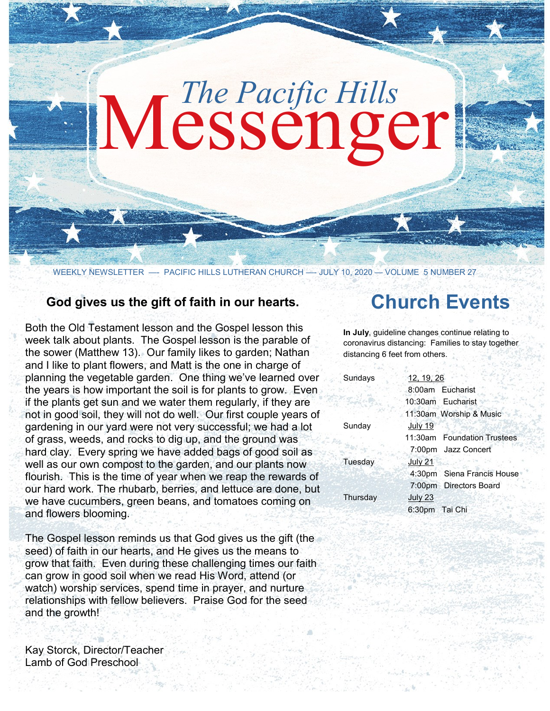# Messenger *The Pacific Hills*

WEEKLY NEWSLETTER - PACIFIC HILLS LUTHERAN CHURCH - JULY 10, 2020 - VOLUME 5 NUMBER 27

## **God gives us the gift of faith in our hearts.**

Both the Old Testament lesson and the Gospel lesson this week talk about plants. The Gospel lesson is the parable of the sower (Matthew 13). Our family likes to garden; Nathan and I like to plant flowers, and Matt is the one in charge of planning the vegetable garden. One thing we've learned over the years is how important the soil is for plants to grow. Even if the plants get sun and we water them regularly, if they are not in good soil, they will not do well. Our first couple years of gardening in our yard were not very successful; we had a lot of grass, weeds, and rocks to dig up, and the ground was hard clay. Every spring we have added bags of good soil as well as our own compost to the garden, and our plants now flourish. This is the time of year when we reap the rewards of our hard work. The rhubarb, berries, and lettuce are done, but we have cucumbers, green beans, and tomatoes coming on and flowers blooming.

The Gospel lesson reminds us that God gives us the gift (the seed) of faith in our hearts, and He gives us the means to grow that faith. Even during these challenging times our faith can grow in good soil when we read His Word, attend (or watch) worship services, spend time in prayer, and nurture relationships with fellow believers. Praise God for the seed and the growth!

Kay Storck, Director/Teacher Lamb of God Preschool

# **Church Events**

**In July**, guideline changes continue relating to coronavirus distancing: Families to stay together distancing 6 feet from others.

| Sundays  | 12, 19, 26                  |
|----------|-----------------------------|
|          | 8:00am Eucharist            |
|          | 10:30am Eucharist           |
|          | 11:30am Worship & Music     |
| Sunday   | July 19                     |
|          | 11:30am Foundation Trustees |
|          | 7:00pm Jazz Concert         |
| Tuesday  | <b>July 21</b>              |
|          | 4:30pm Siena Francis House  |
|          | 7:00pm Directors Board      |
| Thursday | July 23                     |
|          | 6:30pm Tai Chi              |